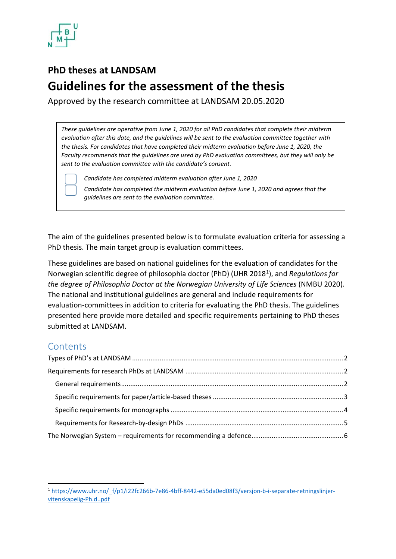

# **PhD theses at LANDSAM Guidelines for the assessment of the thesis**

Approved by the research committee at LANDSAM 20.05.2020

*These guidelines are operative from June 1, 2020 for all PhD candidates that complete their midterm evaluation after this date, and the guidelines will be sent to the evaluation committee together with the thesis. For candidates that have completed their midterm evaluation before June 1, 2020, the Faculty recommends that the guidelines are used by PhD evaluation committees, but they will only be sent to the evaluation committee with the candidate's consent.*

*Candidate has completed midterm evaluation after June 1, 2020*

*Candidate has completed the midterm evaluation before June 1, 2020 and agrees that the guidelines are sent to the evaluation committee.*

The aim of the guidelines presented below is to formulate evaluation criteria for assessing a PhD thesis. The main target group is evaluation committees.

These guidelines are based on national guidelines for the evaluation of candidates for the Norwegian scientific degree of philosophia doctor (PhD) (UHR 2018[1](#page-0-0)), and *Regulations for the degree of Philosophia Doctor at the Norwegian University of Life Sciences* (NMBU 2020). The national and institutional guidelines are general and include requirements for evaluation-committees in addition to criteria for evaluating the PhD thesis. The guidelines presented here provide more detailed and specific requirements pertaining to PhD theses submitted at LANDSAM.

## **Contents**

<span id="page-0-0"></span><sup>1</sup> [https://www.uhr.no/\\_f/p1/i22fc266b-7e86-4bff-8442-e55da0ed08f3/versjon-b-i-separate-retningslinjer](https://www.uhr.no/_f/p1/i22fc266b-7e86-4bff-8442-e55da0ed08f3/versjon-b-i-separate-retningslinjer-vitenskapelig-phd.pdf)[vitenskapelig-Ph.d..pdf](https://www.uhr.no/_f/p1/i22fc266b-7e86-4bff-8442-e55da0ed08f3/versjon-b-i-separate-retningslinjer-vitenskapelig-phd.pdf)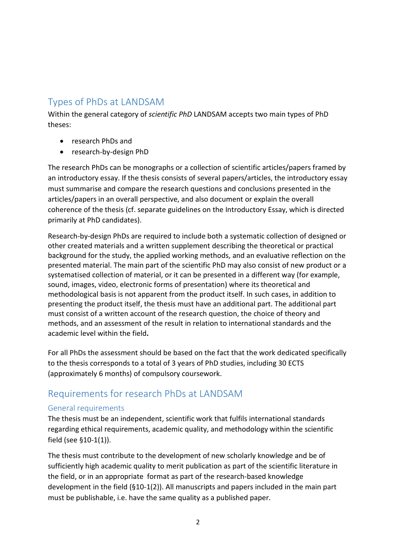# <span id="page-1-0"></span>Types of PhDs at LANDSAM

Within the general category of *scientific PhD* LANDSAM accepts two main types of PhD theses:

- research PhDs and
- research-by-design PhD

The research PhDs can be monographs or a collection of scientific articles/papers framed by an introductory essay. If the thesis consists of several papers/articles, the introductory essay must summarise and compare the research questions and conclusions presented in the articles/papers in an overall perspective, and also document or explain the overall coherence of the thesis (cf. separate guidelines on the Introductory Essay, which is directed primarily at PhD candidates).

Research-by-design PhDs are required to include both a systematic collection of designed or other created materials and a written supplement describing the theoretical or practical background for the study, the applied working methods, and an evaluative reflection on the presented material. The main part of the scientific PhD may also consist of new product or a systematised collection of material, or it can be presented in a different way (for example, sound, images, video, electronic forms of presentation) where its theoretical and methodological basis is not apparent from the product itself. In such cases, in addition to presenting the product itself, the thesis must have an additional part. The additional part must consist of a written account of the research question, the choice of theory and methods, and an assessment of the result in relation to international standards and the academic level within the field**.**

For all PhDs the assessment should be based on the fact that the work dedicated specifically to the thesis corresponds to a total of 3 years of PhD studies, including 30 ECTS (approximately 6 months) of compulsory coursework.

## <span id="page-1-1"></span>Requirements for research PhDs at LANDSAM

### <span id="page-1-2"></span>General requirements

The thesis must be an independent, scientific work that fulfils international standards regarding ethical requirements, academic quality, and methodology within the scientific field (see §10-1(1)).

The thesis must contribute to the development of new scholarly knowledge and be of sufficiently high academic quality to merit publication as part of the scientific literature in the field, or in an appropriate format as part of the research-based knowledge development in the field (§10-1(2)). All manuscripts and papers included in the main part must be publishable, i.e. have the same quality as a published paper.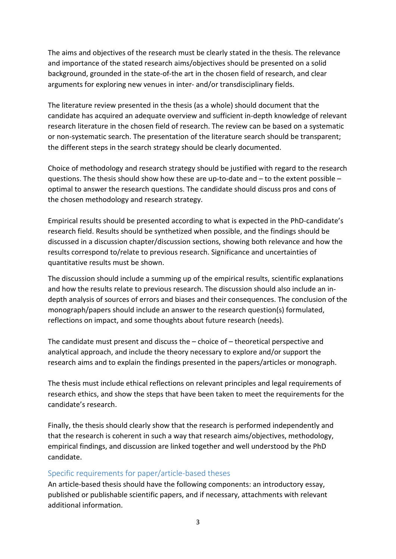The aims and objectives of the research must be clearly stated in the thesis. The relevance and importance of the stated research aims/objectives should be presented on a solid background, grounded in the state-of-the art in the chosen field of research, and clear arguments for exploring new venues in inter- and/or transdisciplinary fields.

The literature review presented in the thesis (as a whole) should document that the candidate has acquired an adequate overview and sufficient in-depth knowledge of relevant research literature in the chosen field of research. The review can be based on a systematic or non-systematic search. The presentation of the literature search should be transparent; the different steps in the search strategy should be clearly documented.

Choice of methodology and research strategy should be justified with regard to the research questions. The thesis should show how these are up-to-date and – to the extent possible – optimal to answer the research questions. The candidate should discuss pros and cons of the chosen methodology and research strategy.

Empirical results should be presented according to what is expected in the PhD-candidate's research field. Results should be synthetized when possible, and the findings should be discussed in a discussion chapter/discussion sections, showing both relevance and how the results correspond to/relate to previous research. Significance and uncertainties of quantitative results must be shown.

The discussion should include a summing up of the empirical results, scientific explanations and how the results relate to previous research. The discussion should also include an indepth analysis of sources of errors and biases and their consequences. The conclusion of the monograph/papers should include an answer to the research question(s) formulated, reflections on impact, and some thoughts about future research (needs).

The candidate must present and discuss the – choice of – theoretical perspective and analytical approach, and include the theory necessary to explore and/or support the research aims and to explain the findings presented in the papers/articles or monograph.

The thesis must include ethical reflections on relevant principles and legal requirements of research ethics, and show the steps that have been taken to meet the requirements for the candidate's research.

Finally, the thesis should clearly show that the research is performed independently and that the research is coherent in such a way that research aims/objectives, methodology, empirical findings, and discussion are linked together and well understood by the PhD candidate.

### <span id="page-2-0"></span>Specific requirements for paper/article-based theses

An article-based thesis should have the following components: an introductory essay, published or publishable scientific papers, and if necessary, attachments with relevant additional information.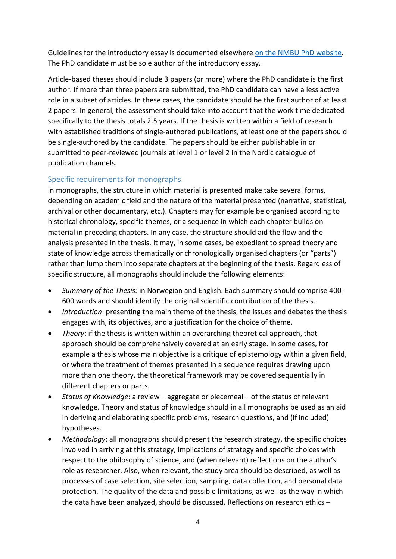Guidelines for the introductory essay is documented elsewhere [on the NMBU PhD website.](https://www.nmbu.no/en/research/phd/implementation#writing-the-thesis-information-about-the-template-for-the-phd-thesis) The PhD candidate must be sole author of the introductory essay.

Article-based theses should include 3 papers (or more) where the PhD candidate is the first author. If more than three papers are submitted, the PhD candidate can have a less active role in a subset of articles. In these cases, the candidate should be the first author of at least 2 papers. In general, the assessment should take into account that the work time dedicated specifically to the thesis totals 2.5 years. If the thesis is written within a field of research with established traditions of single-authored publications, at least one of the papers should be single-authored by the candidate. The papers should be either publishable in or submitted to peer-reviewed journals at level 1 or level 2 in the Nordic catalogue of publication channels.

### <span id="page-3-0"></span>Specific requirements for monographs

In monographs, the structure in which material is presented make take several forms, depending on academic field and the nature of the material presented (narrative, statistical, archival or other documentary, etc.). Chapters may for example be organised according to historical chronology, specific themes, or a sequence in which each chapter builds on material in preceding chapters. In any case, the structure should aid the flow and the analysis presented in the thesis. It may, in some cases, be expedient to spread theory and state of knowledge across thematically or chronologically organised chapters (or "parts") rather than lump them into separate chapters at the beginning of the thesis. Regardless of specific structure, all monographs should include the following elements:

- *Summary of the Thesis:* in Norwegian and English. Each summary should comprise 400- 600 words and should identify the original scientific contribution of the thesis.
- *Introduction*: presenting the main theme of the thesis, the issues and debates the thesis engages with, its objectives, and a justification for the choice of theme.
- *Theory*: if the thesis is written within an overarching theoretical approach, that approach should be comprehensively covered at an early stage. In some cases, for example a thesis whose main objective is a critique of epistemology within a given field, or where the treatment of themes presented in a sequence requires drawing upon more than one theory, the theoretical framework may be covered sequentially in different chapters or parts.
- *Status of Knowledge*: a review aggregate or piecemeal of the status of relevant knowledge. Theory and status of knowledge should in all monographs be used as an aid in deriving and elaborating specific problems, research questions, and (if included) hypotheses.
- *Methodology*: all monographs should present the research strategy, the specific choices involved in arriving at this strategy, implications of strategy and specific choices with respect to the philosophy of science, and (when relevant) reflections on the author's role as researcher. Also, when relevant, the study area should be described, as well as processes of case selection, site selection, sampling, data collection, and personal data protection. The quality of the data and possible limitations, as well as the way in which the data have been analyzed, should be discussed. Reflections on research ethics –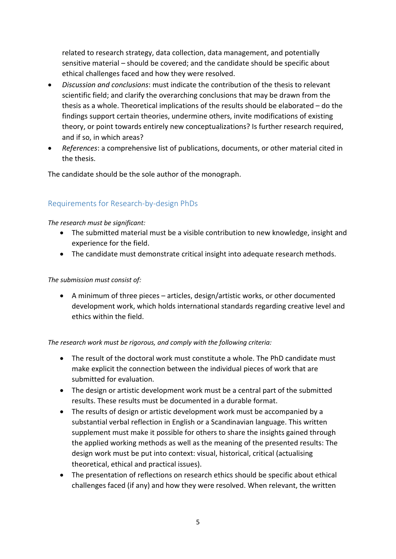related to research strategy, data collection, data management, and potentially sensitive material – should be covered; and the candidate should be specific about ethical challenges faced and how they were resolved.

- *Discussion and conclusions*: must indicate the contribution of the thesis to relevant scientific field; and clarify the overarching conclusions that may be drawn from the thesis as a whole. Theoretical implications of the results should be elaborated – do the findings support certain theories, undermine others, invite modifications of existing theory, or point towards entirely new conceptualizations? Is further research required, and if so, in which areas?
- *References*: a comprehensive list of publications, documents, or other material cited in the thesis.

The candidate should be the sole author of the monograph.

### <span id="page-4-0"></span>Requirements for Research-by-design PhDs

#### *The research must be significant:*

- The submitted material must be a visible contribution to new knowledge, insight and experience for the field.
- The candidate must demonstrate critical insight into adequate research methods.

#### *The submission must consist of:*

• A minimum of three pieces – articles, design/artistic works, or other documented development work, which holds international standards regarding creative level and ethics within the field.

#### *The research work must be rigorous, and comply with the following criteria:*

- The result of the doctoral work must constitute a whole. The PhD candidate must make explicit the connection between the individual pieces of work that are submitted for evaluation.
- The design or artistic development work must be a central part of the submitted results. These results must be documented in a durable format.
- The results of design or artistic development work must be accompanied by a substantial verbal reflection in English or a Scandinavian language. This written supplement must make it possible for others to share the insights gained through the applied working methods as well as the meaning of the presented results: The design work must be put into context: visual, historical, critical (actualising theoretical, ethical and practical issues).
- The presentation of reflections on research ethics should be specific about ethical challenges faced (if any) and how they were resolved. When relevant, the written